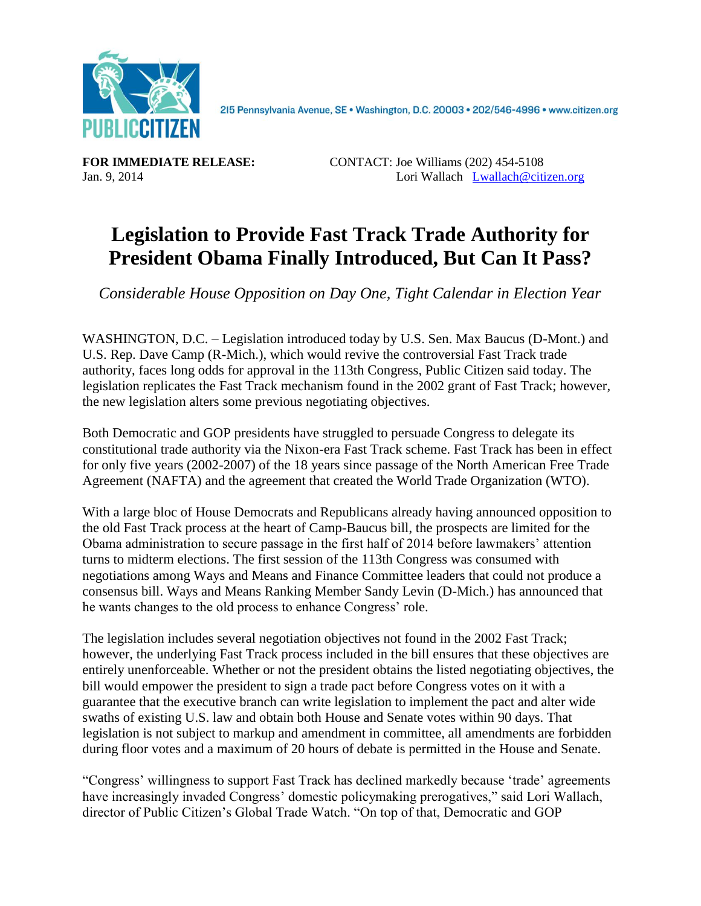

2I5 Pennsylvania Avenue, SE · Washington, D.C. 20003 · 202/546-4996 · www.citizen.org

**FOR IMMEDIATE RELEASE:** CONTACT: Joe Williams (202) 454-5108 Jan. 9, 2014 Lori Wallach [Lwallach@citizen.org](mailto:Lwallach@citizen.org)

## **Legislation to Provide Fast Track Trade Authority for President Obama Finally Introduced, But Can It Pass?**

*Considerable House Opposition on Day One, Tight Calendar in Election Year*

WASHINGTON, D.C. – Legislation introduced today by U.S. Sen. Max Baucus (D-Mont.) and U.S. Rep. Dave Camp (R-Mich.), which would revive the controversial Fast Track trade authority, faces long odds for approval in the 113th Congress, Public Citizen said today. The legislation replicates the Fast Track mechanism found in the 2002 grant of Fast Track; however, the new legislation alters some previous negotiating objectives.

Both Democratic and GOP presidents have struggled to persuade Congress to delegate its constitutional trade authority via the Nixon-era Fast Track scheme. Fast Track has been in effect for only five years (2002-2007) of the 18 years since passage of the North American Free Trade Agreement (NAFTA) and the agreement that created the World Trade Organization (WTO).

With a large bloc of House Democrats and Republicans already having announced opposition to the old Fast Track process at the heart of Camp-Baucus bill, the prospects are limited for the Obama administration to secure passage in the first half of 2014 before lawmakers' attention turns to midterm elections. The first session of the 113th Congress was consumed with negotiations among Ways and Means and Finance Committee leaders that could not produce a consensus bill. Ways and Means Ranking Member Sandy Levin (D-Mich.) has announced that he wants changes to the old process to enhance Congress' role.

The legislation includes several negotiation objectives not found in the 2002 Fast Track; however, the underlying Fast Track process included in the bill ensures that these objectives are entirely unenforceable. Whether or not the president obtains the listed negotiating objectives, the bill would empower the president to sign a trade pact before Congress votes on it with a guarantee that the executive branch can write legislation to implement the pact and alter wide swaths of existing U.S. law and obtain both House and Senate votes within 90 days. That legislation is not subject to markup and amendment in committee, all amendments are forbidden during floor votes and a maximum of 20 hours of debate is permitted in the House and Senate.

"Congress' willingness to support Fast Track has declined markedly because 'trade' agreements have increasingly invaded Congress' domestic policymaking prerogatives," said Lori Wallach, director of Public Citizen's Global Trade Watch. "On top of that, Democratic and GOP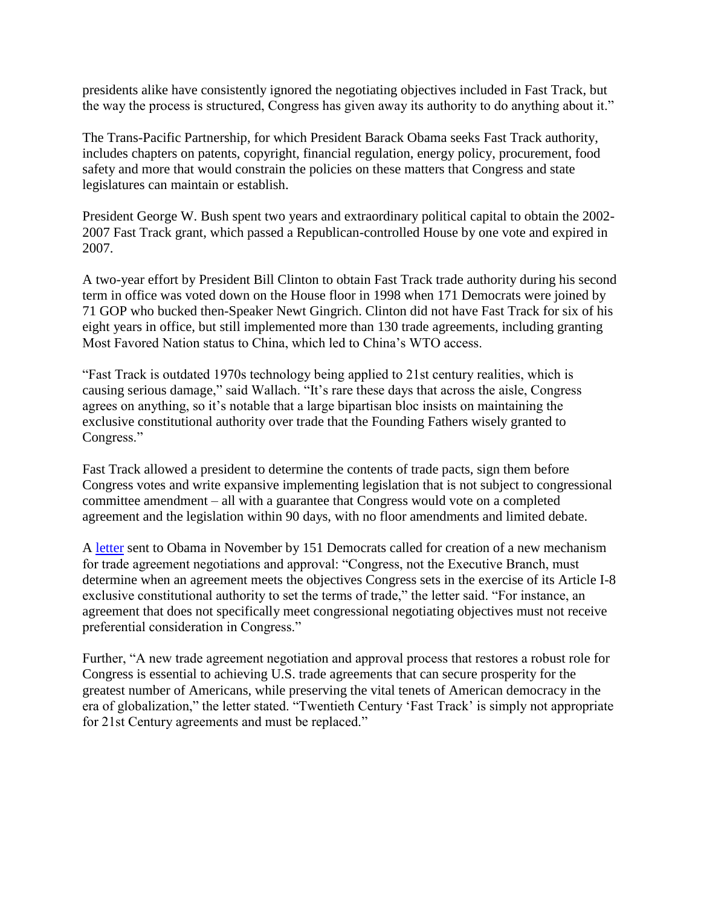presidents alike have consistently ignored the negotiating objectives included in Fast Track, but the way the process is structured, Congress has given away its authority to do anything about it."

The Trans-Pacific Partnership, for which President Barack Obama seeks Fast Track authority, includes chapters on patents, copyright, financial regulation, energy policy, procurement, food safety and more that would constrain the policies on these matters that Congress and state legislatures can maintain or establish.

President George W. Bush spent two years and extraordinary political capital to obtain the 2002- 2007 Fast Track grant, which passed a Republican-controlled House by one vote and expired in 2007.

A two-year effort by President Bill Clinton to obtain Fast Track trade authority during his second term in office was voted down on the House floor in 1998 when 171 Democrats were joined by 71 GOP who bucked then-Speaker Newt Gingrich. Clinton did not have Fast Track for six of his eight years in office, but still implemented more than 130 trade agreements, including granting Most Favored Nation status to China, which led to China's WTO access.

"Fast Track is outdated 1970s technology being applied to 21st century realities, which is causing serious damage," said Wallach. "It's rare these days that across the aisle, Congress agrees on anything, so it's notable that a large bipartisan bloc insists on maintaining the exclusive constitutional authority over trade that the Founding Fathers wisely granted to Congress."

Fast Track allowed a president to determine the contents of trade pacts, sign them before Congress votes and write expansive implementing legislation that is not subject to congressional committee amendment – all with a guarantee that Congress would vote on a completed agreement and the legislation within 90 days, with no floor amendments and limited debate.

A [letter](http://qz.salsalabs.com/dia/track.jsp?key=-1&url_num=1&url=http%3A%2F%2Fdelauro.house.gov%2Findex.php%3Foption%3Dcom_content%26view%3Darticle%26id%3D1455%3Adelauro-miller-lead-151-house-dems-telling-president-they-will-not-support-outdated-fast-track-for-trans-pacific-partnership%26Itemid%3D21) sent to Obama in November by 151 Democrats called for creation of a new mechanism for trade agreement negotiations and approval: "Congress, not the Executive Branch, must determine when an agreement meets the objectives Congress sets in the exercise of its Article I-8 exclusive constitutional authority to set the terms of trade," the letter said. "For instance, an agreement that does not specifically meet congressional negotiating objectives must not receive preferential consideration in Congress."

Further, "A new trade agreement negotiation and approval process that restores a robust role for Congress is essential to achieving U.S. trade agreements that can secure prosperity for the greatest number of Americans, while preserving the vital tenets of American democracy in the era of globalization," the letter stated. "Twentieth Century 'Fast Track' is simply not appropriate for 21st Century agreements and must be replaced."